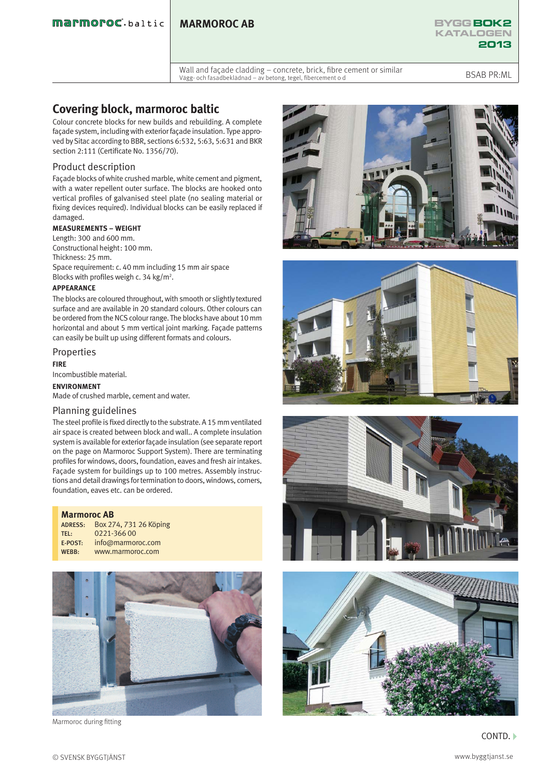### **MARMOROC AB**



Wall and façade cladding – concrete, brick, fibre cement or similar Vält and Taçade Claduing – concrete, brick, more centent of Similian<br>Vägg- och fasadbeklädnad – av betong, tegel, fibercement o d

# **Covering block, marmoroc baltic**

Colour concrete blocks for new builds and rebuilding. A complete façade system, including with exterior façade insulation. Type approved by Sitac according to BBR, sections 6:532, 5:63, 5:631 and BKR section 2:111 (Certificate No. 1356/70).

### Product description

Façade blocks of white crushed marble, white cement and pigment, with a water repellent outer surface. The blocks are hooked onto vertical profiles of galvanised steel plate (no sealing material or fixing devices required). Individual blocks can be easily replaced if damaged.

### **MEASUREMENTS – WEIGHT**

Length: 300 and 600 mm. Constructional height: 100 mm. Thickness: 25 mm.

Space requirement: c. 40 mm including 15 mm air space Blocks with profiles weigh c. 34 kg/m<sup>2</sup>.

#### **APPEARANCE**

The blocks are coloured throughout, with smooth or slightly textured surface and are available in 20 standard colours. Other colours can be ordered from the NCS colour range. The blocks have about 10 mm horizontal and about 5 mm vertical joint marking. Façade patterns can easily be built up using different formats and colours.

## Properties

**FIRE**

Incombustible material.

**ENVIRONMENT** 

Made of crushed marble, cement and water.

#### Planning guidelines

The steel profile is fixed directly to the substrate. A 15 mm ventilated air space is created between block and wall.. A complete insulation system is available for exterior façade insulation (see separate report on the page on Marmoroc Support System). There are terminating profiles for windows, doors, foundation, eaves and fresh air intakes. Façade system for buildings up to 100 metres. Assembly instructions and detail drawings for termination to doors, windows, corners, foundation, eaves etc. can be ordered.

| <b>Marmoroc AB</b> |                        |
|--------------------|------------------------|
| ADRESS:            | Box 274, 731 26 Köping |
| TFI:               | 0221-366 00            |
| E-POST:            | info@marmoroc.com      |
| WEBB:              | www.marmoroc.com       |



Marmoroc during fitting